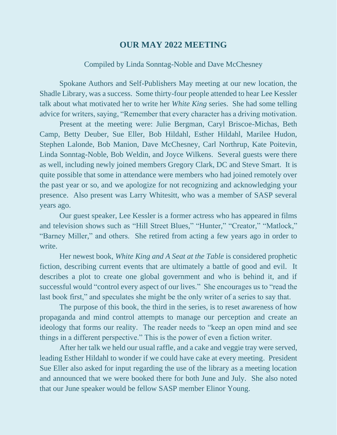## **OUR MAY 2022 MEETING**

## Compiled by Linda Sonntag-Noble and Dave McChesney

Spokane Authors and Self-Publishers May meeting at our new location, the Shadle Library, was a success. Some thirty-four people attended to hear Lee Kessler talk about what motivated her to write her *White King* series. She had some telling advice for writers, saying, "Remember that every character has a driving motivation.

Present at the meeting were: Julie Bergman, Caryl Briscoe-Michas, Beth Camp, Betty Deuber, Sue Eller, Bob Hildahl, Esther Hildahl, Marilee Hudon, Stephen Lalonde, Bob Manion, Dave McChesney, Carl Northrup, Kate Poitevin, Linda Sonntag-Noble, Bob Weldin, and Joyce Wilkens. Several guests were there as well, including newly joined members Gregory Clark, DC and Steve Smart. It is quite possible that some in attendance were members who had joined remotely over the past year or so, and we apologize for not recognizing and acknowledging your presence. Also present was Larry Whitesitt, who was a member of SASP several years ago.

Our guest speaker, Lee Kessler is a former actress who has appeared in films and television shows such as "Hill Street Blues," "Hunter," "Creator," "Matlock," "Barney Miller," and others. She retired from acting a few years ago in order to write.

Her newest book, *White King and A Seat at the Table* is considered prophetic fiction, describing current events that are ultimately a battle of good and evil. It describes a plot to create one global government and who is behind it, and if successful would "control every aspect of our lives." She encourages us to "read the last book first," and speculates she might be the only writer of a series to say that.

The purpose of this book, the third in the series, is to reset awareness of how propaganda and mind control attempts to manage our perception and create an ideology that forms our reality. The reader needs to "keep an open mind and see things in a different perspective." This is the power of even a fiction writer.

After her talk we held our usual raffle, and a cake and veggie tray were served, leading Esther Hildahl to wonder if we could have cake at every meeting. President Sue Eller also asked for input regarding the use of the library as a meeting location and announced that we were booked there for both June and July. She also noted that our June speaker would be fellow SASP member Elinor Young.